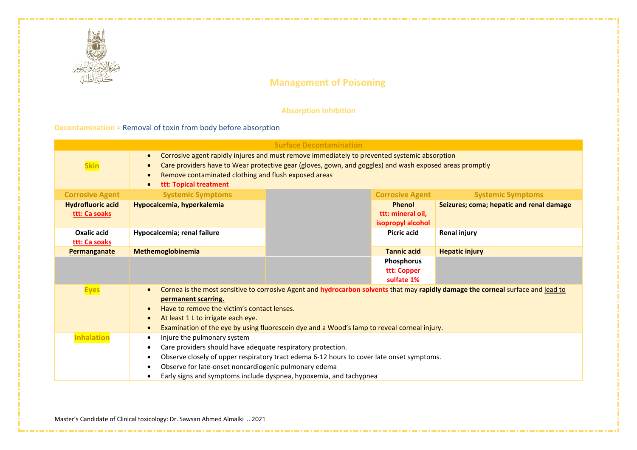

a series a construction of the construction of the construction of the construction of the construction of the

## **Absorption Inhibition**

## **Decontamination =** Removal of toxin from body before absorption

| <b>Surface Decontamination</b>            |                                                                                                                                                                                                                                                                                                                                                                                                 |  |                                                         |                                          |  |
|-------------------------------------------|-------------------------------------------------------------------------------------------------------------------------------------------------------------------------------------------------------------------------------------------------------------------------------------------------------------------------------------------------------------------------------------------------|--|---------------------------------------------------------|------------------------------------------|--|
| <b>Skin</b>                               | Corrosive agent rapidly injures and must remove immediately to prevented systemic absorption<br>$\bullet$<br>Care providers have to Wear protective gear (gloves, gown, and goggles) and wash exposed areas promptly<br>$\bullet$<br>Remove contaminated clothing and flush exposed areas<br>$\bullet$<br>ttt: Topical treatment<br>$\bullet$                                                   |  |                                                         |                                          |  |
| <b>Corrosive Agent</b>                    | <b>Systemic Symptoms</b>                                                                                                                                                                                                                                                                                                                                                                        |  | <b>Corrosive Agent</b>                                  | <b>Systemic Symptoms</b>                 |  |
| <b>Hydrofluoric acid</b><br>ttt: Ca soaks | Hypocalcemia, hyperkalemia                                                                                                                                                                                                                                                                                                                                                                      |  | <b>Phenol</b><br>ttt: mineral oil,<br>isopropyl alcohol | Seizures; coma; hepatic and renal damage |  |
| <b>Oxalic acid</b><br>ttt: Ca soaks       | Hypocalcemia; renal failure                                                                                                                                                                                                                                                                                                                                                                     |  | <b>Picric acid</b>                                      | <b>Renal injury</b>                      |  |
| <b>Permanganate</b>                       | Methemoglobinemia                                                                                                                                                                                                                                                                                                                                                                               |  | <b>Tannic acid</b>                                      | <b>Hepatic injury</b>                    |  |
|                                           |                                                                                                                                                                                                                                                                                                                                                                                                 |  | Phosphorus<br>ttt: Copper<br>sulfate 1%                 |                                          |  |
| <b>Eyes</b>                               | Cornea is the most sensitive to corrosive Agent and hydrocarbon solvents that may rapidly damage the corneal surface and lead to<br>$\bullet$<br>permanent scarring.<br>Have to remove the victim's contact lenses.<br>$\bullet$<br>At least 1 L to irrigate each eye.<br>$\bullet$<br>Examination of the eye by using fluorescein dye and a Wood's lamp to reveal corneal injury.<br>$\bullet$ |  |                                                         |                                          |  |
| <b>Inhalation</b>                         | Injure the pulmonary system<br>$\bullet$<br>Care providers should have adequate respiratory protection.<br>$\bullet$<br>Observe closely of upper respiratory tract edema 6-12 hours to cover late onset symptoms.<br>$\bullet$<br>Observe for late-onset noncardiogenic pulmonary edema<br>$\bullet$<br>Early signs and symptoms include dyspnea, hypoxemia, and tachypnea<br>$\bullet$         |  |                                                         |                                          |  |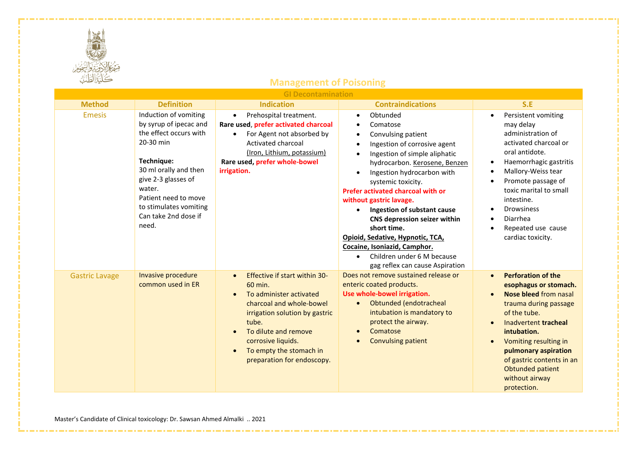

| <b>GI Decontamination</b> |                                                                                                                                                                                                                                                   |                                                                                                                                                                                                                                                                             |                                                                                                                                                                                                                                                                                                                                                                                                                                                                                                                                         |                                                                                                                                                                                                                                                                                                                          |  |
|---------------------------|---------------------------------------------------------------------------------------------------------------------------------------------------------------------------------------------------------------------------------------------------|-----------------------------------------------------------------------------------------------------------------------------------------------------------------------------------------------------------------------------------------------------------------------------|-----------------------------------------------------------------------------------------------------------------------------------------------------------------------------------------------------------------------------------------------------------------------------------------------------------------------------------------------------------------------------------------------------------------------------------------------------------------------------------------------------------------------------------------|--------------------------------------------------------------------------------------------------------------------------------------------------------------------------------------------------------------------------------------------------------------------------------------------------------------------------|--|
| <b>Method</b>             | <b>Definition</b>                                                                                                                                                                                                                                 | <b>Indication</b>                                                                                                                                                                                                                                                           | <b>Contraindications</b>                                                                                                                                                                                                                                                                                                                                                                                                                                                                                                                | S.E                                                                                                                                                                                                                                                                                                                      |  |
| <b>Emesis</b>             | Induction of vomiting<br>by syrup of ipecac and<br>the effect occurs with<br>20-30 min<br>Technique:<br>30 ml orally and then<br>give 2-3 glasses of<br>water.<br>Patient need to move<br>to stimulates vomiting<br>Can take 2nd dose if<br>need. | Prehospital treatment.<br>$\bullet$<br>Rare used, prefer activated charcoal<br>For Agent not absorbed by<br>$\bullet$<br>Activated charcoal<br>(Iron, Lithium, potassium)<br>Rare used, prefer whole-bowel<br>irrigation.                                                   | Obtunded<br>$\bullet$<br>Comatose<br>$\bullet$<br>Convulsing patient<br>$\bullet$<br>Ingestion of corrosive agent<br>Ingestion of simple aliphatic<br>hydrocarbon. Kerosene, Benzen<br>Ingestion hydrocarbon with<br>systemic toxicity.<br>Prefer activated charcoal with or<br>without gastric lavage.<br>Ingestion of substant cause<br>CNS depression seizer within<br>short time.<br>Opioid, Sedative, Hypnotic, TCA,<br>Cocaine, Isoniazid, Camphor.<br>Children under 6 M because<br>$\bullet$<br>gag reflex can cause Aspiration | Persistent vomiting<br>$\bullet$<br>may delay<br>administration of<br>activated charcoal or<br>oral antidote.<br>Haemorrhagic gastritis<br>$\bullet$<br>Mallory-Weiss tear<br>Promote passage of<br>toxic marital to small<br>intestine.<br><b>Drowsiness</b><br>Diarrhea<br>Repeated use cause<br>cardiac toxicity.     |  |
| <b>Gastric Lavage</b>     | Invasive procedure<br>common used in ER                                                                                                                                                                                                           | Effective if start within 30-<br>$\bullet$<br>60 min.<br>To administer activated<br>charcoal and whole-bowel<br>irrigation solution by gastric<br>tube.<br>To dilute and remove<br>corrosive liquids.<br>To empty the stomach in<br>$\bullet$<br>preparation for endoscopy. | Does not remove sustained release or<br>enteric coated products.<br>Use whole-bowel irrigation.<br>Obtunded (endotracheal<br>intubation is mandatory to<br>protect the airway.<br>Comatose<br><b>Convulsing patient</b>                                                                                                                                                                                                                                                                                                                 | <b>Perforation of the</b><br>$\bullet$<br>esophagus or stomach.<br>Nose bleed from nasal<br>trauma during passage<br>of the tube.<br>Inadvertent tracheal<br>intubation.<br>Vomiting resulting in<br>$\bullet$<br>pulmonary aspiration<br>of gastric contents in an<br>Obtunded patient<br>without airway<br>protection. |  |